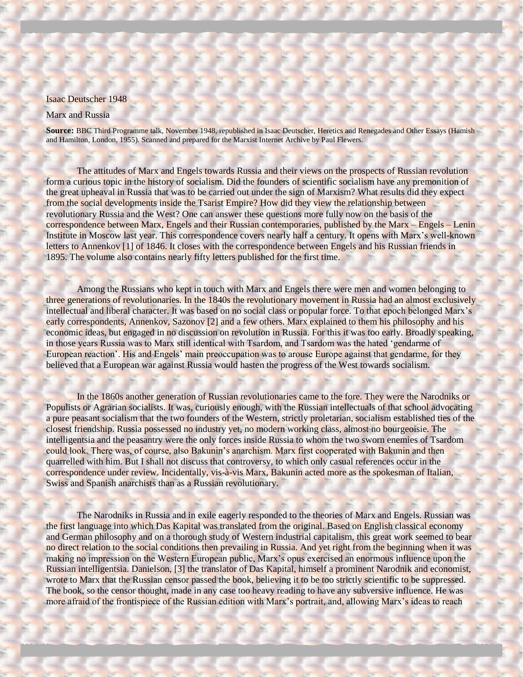## Isaac Deutscher 1948

## Marx and Russia

**Source:** BBC Third Programme talk, November 1948, republished in Isaac Deutscher, Heretics and Renegades and Other Essays (Hamish and Hamilton, London, 1955). Scanned and prepared for the Marxist Internet Archive by Paul Flewers.

The attitudes of Marx and Engels towards Russia and their views on the prospects of Russian revolution form a curious topic in the history of socialism. Did the founders of scientific socialism have any premonition of the great upheaval in Russia that was to be carried out under the sign of Marxism? What results did they expect from the social developments inside the Tsarist Empire? How did they view the relationship between revolutionary Russia and the West? One can answer these questions more fully now on the basis of the correspondence between Marx, Engels and their Russian contemporaries, published by the Marx – Engels – Lenin Institute in Moscow last year. This correspondence covers nearly half a century. It opens with Marx's well-known letters to Annenkov [1] of 1846. It closes with the correspondence between Engels and his Russian friends in 1895. The volume also contains nearly fifty letters published for the first time.

Among the Russians who kept in touch with Marx and Engels there were men and women belonging to three generations of revolutionaries. In the 1840s the revolutionary movement in Russia had an almost exclusively intellectual and liberal character. It was based on no social class or popular force. To that epoch belonged Marx's early correspondents, Annenkov, Sazonov [2] and a few others. Marx explained to them his philosophy and his economic ideas, but engaged in no discussion on revolution in Russia. For this it was too early. Broadly speaking, in those years Russia was to Marx still identical with Tsardom, and Tsardom was the hated 'gendarme of European reaction'. His and Engels' main preoccupation was to arouse Europe against that gendarme, for they believed that a European war against Russia would hasten the progress of the West towards socialism.

In the 1860s another generation of Russian revolutionaries came to the fore. They were the Narodniks or Populists or Agrarian socialists. It was, curiously enough, with the Russian intellectuals of that school advocating a pure peasant socialism that the two founders of the Western, strictly proletarian, socialism established ties of the closest friendship. Russia possessed no industry yet, no modern working class, almost no bourgeoisie. The intelligentsia and the peasantry were the only forces inside Russia to whom the two sworn enemies of Tsardom could look. There was, of course, also Bakunin's anarchism. Marx first cooperated with Bakunin and then quarrelled with him. But I shall not discuss that controversy, to which only casual references occur in the correspondence under review. Incidentally, vis-à-vis Marx, Bakunin acted more as the spokesman of Italian, Swiss and Spanish anarchists than as a Russian revolutionary.

The Narodniks in Russia and in exile eagerly responded to the theories of Marx and Engels. Russian was the first language into which Das Kapital was translated from the original. Based on English classical economy and German philosophy and on a thorough study of Western industrial capitalism, this great work seemed to bear no direct relation to the social conditions then prevailing in Russia. And yet right from the beginning when it was making no impression on the Western European public, Marx's opus exercised an enormous influence upon the Russian intelligentsia. Danielson, [3] the translator of Das Kapital, himself a prominent Narodnik and economist, wrote to Marx that the Russian censor passed the book, believing it to be too strictly scientific to be suppressed. The book, so the censor thought, made in any case too heavy reading to have any subversive influence. He was more afraid of the frontispiece of the Russian edition with Marx's portrait, and, allowing Marx's ideas to reach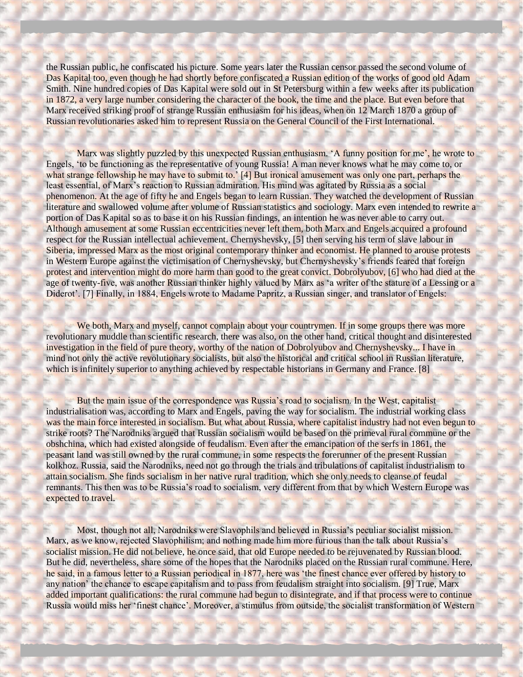the Russian public, he confiscated his picture. Some years later the Russian censor passed the second volume of Das Kapital too, even though he had shortly before confiscated a Russian edition of the works of good old Adam Smith. Nine hundred copies of Das Kapital were sold out in St Petersburg within a few weeks after its publication in 1872, a very large number considering the character of the book, the time and the place. But even before that Marx received striking proof of strange Russian enthusiasm for his ideas, when on 12 March 1870 a group of Russian revolutionaries asked him to represent Russia on the General Council of the First International.

Marx was slightly puzzled by this unexpected Russian enthusiasm. 'A funny position for me', he wrote to Engels, 'to be functioning as the representative of young Russia! A man never knows what he may come to, or what strange fellowship he may have to submit to.' [4] But ironical amusement was only one part, perhaps the least essential, of Marx's reaction to Russian admiration. His mind was agitated by Russia as a social phenomenon. At the age of fifty he and Engels began to learn Russian. They watched the development of Russian literature and swallowed volume after volume of Russian statistics and sociology. Marx even intended to rewrite a portion of Das Kapital so as to base it on his Russian findings, an intention he was never able to carry out. Although amusement at some Russian eccentricities never left them, both Marx and Engels acquired a profound respect for the Russian intellectual achievement. Chernyshevsky, [5] then serving his term of slave labour in Siberia, impressed Marx as the most original contemporary thinker and economist. He planned to arouse protests in Western Europe against the victimisation of Chernyshevsky, but Chernyshevsky's friends feared that foreign protest and intervention might do more harm than good to the great convict. Dobrolyubov, [6] who had died at the age of twenty-five, was another Russian thinker highly valued by Marx as 'a writer of the stature of a Lessing or a Diderot'. [7] Finally, in 1884, Engels wrote to Madame Papritz, a Russian singer, and translator of Engels:

We both, Marx and myself, cannot complain about your countrymen. If in some groups there was more revolutionary muddle than scientific research, there was also, on the other hand, critical thought and disinterested investigation in the field of pure theory, worthy of the nation of Dobrolyubov and Chernyshevsky... I have in mind not only the active revolutionary socialists, but also the historical and critical school in Russian literature, which is infinitely superior to anything achieved by respectable historians in Germany and France. [8]

But the main issue of the correspondence was Russia's road to socialism. In the West, capitalist industrialisation was, according to Marx and Engels, paving the way for socialism. The industrial working class was the main force interested in socialism. But what about Russia, where capitalist industry had not even begun to strike roots? The Narodniks argued that Russian socialism would be based on the primeval rural commune or the obshchina, which had existed alongside of feudalism. Even after the emancipation of the serfs in 1861, the peasant land was still owned by the rural commune, in some respects the forerunner of the present Russian kolkhoz. Russia, said the Narodniks, need not go through the trials and tribulations of capitalist industrialism to attain socialism. She finds socialism in her native rural tradition, which she only needs to cleanse of feudal remnants. This then was to be Russia's road to socialism, very different from that by which Western Europe was expected to travel.

Most, though not all, Narodniks were Slavophils and believed in Russia's peculiar socialist mission. Marx, as we know, rejected Slavophilism; and nothing made him more furious than the talk about Russia's socialist mission. He did not believe, he once said, that old Europe needed to be rejuvenated by Russian blood. But he did, nevertheless, share some of the hopes that the Narodniks placed on the Russian rural commune. Here, he said, in a famous letter to a Russian periodical in 1877, here was 'the finest chance ever offered by history to any nation' the chance to escape capitalism and to pass from feudalism straight into socialism. [9] True, Marx added important qualifications: the rural commune had begun to disintegrate, and if that process were to continue Russia would miss her 'finest chance'. Moreover, a stimulus from outside, the socialist transformation of Western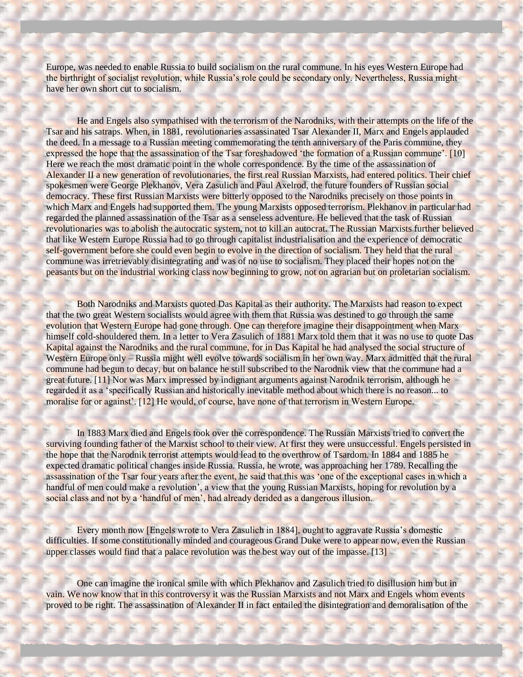Europe, was needed to enable Russia to build socialism on the rural commune. In his eyes Western Europe had the birthright of socialist revolution, while Russia's role could be secondary only. Nevertheless, Russia might have her own short cut to socialism.

He and Engels also sympathised with the terrorism of the Narodniks, with their attempts on the life of the Tsar and his satraps. When, in 1881, revolutionaries assassinated Tsar Alexander II, Marx and Engels applauded the deed. In a message to a Russian meeting commemorating the tenth anniversary of the Paris commune, they expressed the hope that the assassination of the Tsar foreshadowed 'the formation of a Russian commune'. [10] Here we reach the most dramatic point in the whole correspondence. By the time of the assassination of Alexander II a new generation of revolutionaries, the first real Russian Marxists, had entered politics. Their chief spokesmen were George Plekhanov, Vera Zasulich and Paul Axelrod, the future founders of Russian social democracy. These first Russian Marxists were bitterly opposed to the Narodniks precisely on those points in which Marx and Engels had supported them. The young Marxists opposed terrorism. Plekhanov in particular had regarded the planned assassination of the Tsar as a senseless adventure. He believed that the task of Russian revolutionaries was to abolish the autocratic system, not to kill an autocrat. The Russian Marxists further believed that like Western Europe Russia had to go through capitalist industrialisation and the experience of democratic self-government before she could even begin to evolve in the direction of socialism. They held that the rural commune was irretrievably disintegrating and was of no use to socialism. They placed their hopes not on the peasants but on the industrial working class now beginning to grow, not on agrarian but on proletarian socialism.

Both Narodniks and Marxists quoted Das Kapital as their authority. The Marxists had reason to expect that the two great Western socialists would agree with them that Russia was destined to go through the same evolution that Western Europe had gone through. One can therefore imagine their disappointment when Marx himself cold-shouldered them. In a letter to Vera Zasulich of 1881 Marx told them that it was no use to quote Das Kapital against the Narodniks and the rural commune, for in Das Kapital he had analysed the social structure of Western Europe only – Russia might well evolve towards socialism in her own way. Marx admitted that the rural commune had begun to decay, but on balance he still subscribed to the Narodnik view that the commune had a great future. [11] Nor was Marx impressed by indignant arguments against Narodnik terrorism, although he regarded it as a 'specifically Russian and historically inevitable method about which there is no reason... to moralise for or against'. [12] He would, of course, have none of that terrorism in Western Europe.

In 1883 Marx died and Engels took over the correspondence. The Russian Marxists tried to convert the surviving founding father of the Marxist school to their view. At first they were unsuccessful. Engels persisted in the hope that the Narodnik terrorist attempts would lead to the overthrow of Tsardom. In 1884 and 1885 he expected dramatic political changes inside Russia. Russia, he wrote, was approaching her 1789. Recalling the assassination of the Tsar four years after the event, he said that this was 'one of the exceptional cases in which a handful of men could make a revolution', a view that the young Russian Marxists, hoping for revolution by a social class and not by a 'handful of men', had already derided as a dangerous illusion.

Every month now [Engels wrote to Vera Zasulich in 1884], ought to aggravate Russia's domestic difficulties. If some constitutionally minded and courageous Grand Duke were to appear now, even the Russian upper classes would find that a palace revolution was the best way out of the impasse. [13]

One can imagine the ironical smile with which Plekhanov and Zasulich tried to disillusion him but in vain. We now know that in this controversy it was the Russian Marxists and not Marx and Engels whom events proved to be right. The assassination of Alexander II in fact entailed the disintegration and demoralisation of the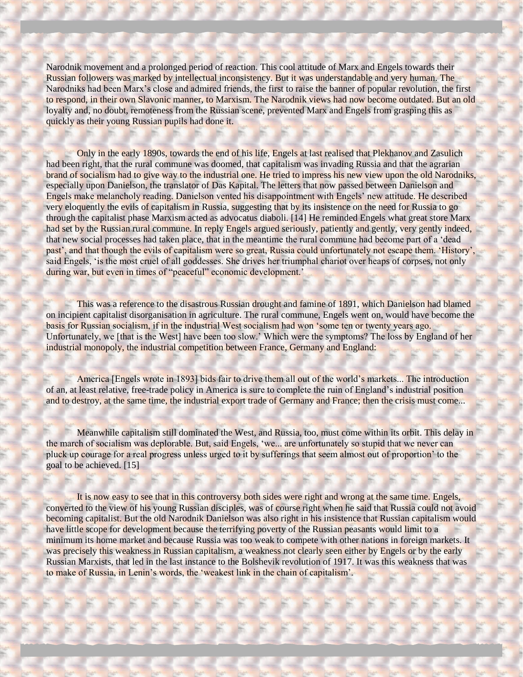Narodnik movement and a prolonged period of reaction. This cool attitude of Marx and Engels towards their Russian followers was marked by intellectual inconsistency. But it was understandable and very human. The Narodniks had been Marx's close and admired friends, the first to raise the banner of popular revolution, the first to respond, in their own Slavonic manner, to Marxism. The Narodnik views had now become outdated. But an old loyalty and, no doubt, remoteness from the Russian scene, prevented Marx and Engels from grasping this as quickly as their young Russian pupils had done it.

Only in the early 1890s, towards the end of his life, Engels at last realised that Plekhanov and Zasulich had been right, that the rural commune was doomed, that capitalism was invading Russia and that the agrarian brand of socialism had to give way to the industrial one. He tried to impress his new view upon the old Narodniks, especially upon Danielson, the translator of Das Kapital. The letters that now passed between Danielson and Engels make melancholy reading. Danielson vented his disappointment with Engels' new attitude. He described very eloquently the evils of capitalism in Russia, suggesting that by its insistence on the need for Russia to go through the capitalist phase Marxism acted as advocatus diaboli. [14] He reminded Engels what great store Marx had set by the Russian rural commune. In reply Engels argued seriously, patiently and gently, very gently indeed, that new social processes had taken place, that in the meantime the rural commune had become part of a 'dead past', and that though the evils of capitalism were so great, Russia could unfortunately not escape them. 'History', said Engels, 'is the most cruel of all goddesses. She drives her triumphal chariot over heaps of corpses, not only during war, but even in times of "peaceful" economic development.'

This was a reference to the disastrous Russian drought and famine of 1891, which Danielson had blamed on incipient capitalist disorganisation in agriculture. The rural commune, Engels went on, would have become the basis for Russian socialism, if in the industrial West socialism had won 'some ten or twenty years ago. Unfortunately, we [that is the West] have been too slow.' Which were the symptoms? The loss by England of her industrial monopoly, the industrial competition between France, Germany and England:

America [Engels wrote in 1893] bids fair to drive them all out of the world's markets... The introduction of an, at least relative, free-trade policy in America is sure to complete the ruin of England's industrial position and to destroy, at the same time, the industrial export trade of Germany and France; then the crisis must come...

Meanwhile capitalism still dominated the West, and Russia, too, must come within its orbit. This delay in the march of socialism was deplorable. But, said Engels, 'we... are unfortunately so stupid that we never can pluck up courage for a real progress unless urged to it by sufferings that seem almost out of proportion' to the goal to be achieved. [15]

It is now easy to see that in this controversy both sides were right and wrong at the same time. Engels, converted to the view of his young Russian disciples, was of course right when he said that Russia could not avoid becoming capitalist. But the old Narodnik Danielson was also right in his insistence that Russian capitalism would have little scope for development because the terrifying poverty of the Russian peasants would limit to a minimum its home market and because Russia was too weak to compete with other nations in foreign markets. It was precisely this weakness in Russian capitalism, a weakness not clearly seen either by Engels or by the early Russian Marxists, that led in the last instance to the Bolshevik revolution of 1917. It was this weakness that was to make of Russia, in Lenin's words, the 'weakest link in the chain of capitalism'.